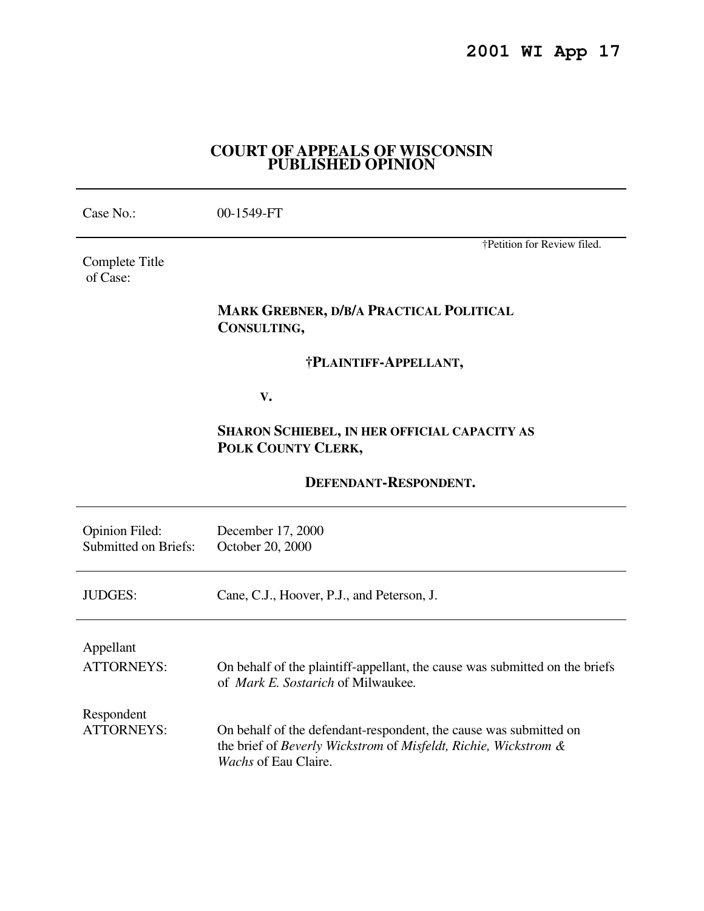## **COURT OF APPEALS OF WISCONSIN PUBLISHED OPINION**

| Case No.:                                            | 00-1549-FT                                                                                                                                                   |
|------------------------------------------------------|--------------------------------------------------------------------------------------------------------------------------------------------------------------|
| Complete Title<br>of Case:                           | †Petition for Review filed.                                                                                                                                  |
|                                                      | <b>MARK GREBNER, D/B/A PRACTICAL POLITICAL</b><br>CONSULTING,                                                                                                |
|                                                      | †PLAINTIFF-APPELLANT,                                                                                                                                        |
|                                                      | V.                                                                                                                                                           |
|                                                      | SHARON SCHIEBEL, IN HER OFFICIAL CAPACITY AS<br>POLK COUNTY CLERK,                                                                                           |
|                                                      | DEFENDANT-RESPONDENT.                                                                                                                                        |
| <b>Opinion Filed:</b><br><b>Submitted on Briefs:</b> | December 17, 2000<br>October 20, 2000                                                                                                                        |
| <b>JUDGES:</b>                                       | Cane, C.J., Hoover, P.J., and Peterson, J.                                                                                                                   |
| Appellant<br><b>ATTORNEYS:</b>                       | On behalf of the plaintiff-appellant, the cause was submitted on the briefs<br>of Mark E. Sostarich of Milwaukee.                                            |
| Respondent<br><b>ATTORNEYS:</b>                      | On behalf of the defendant-respondent, the cause was submitted on<br>the brief of Beverly Wickstrom of Misfeldt, Richie, Wickstrom &<br>Wachs of Eau Claire. |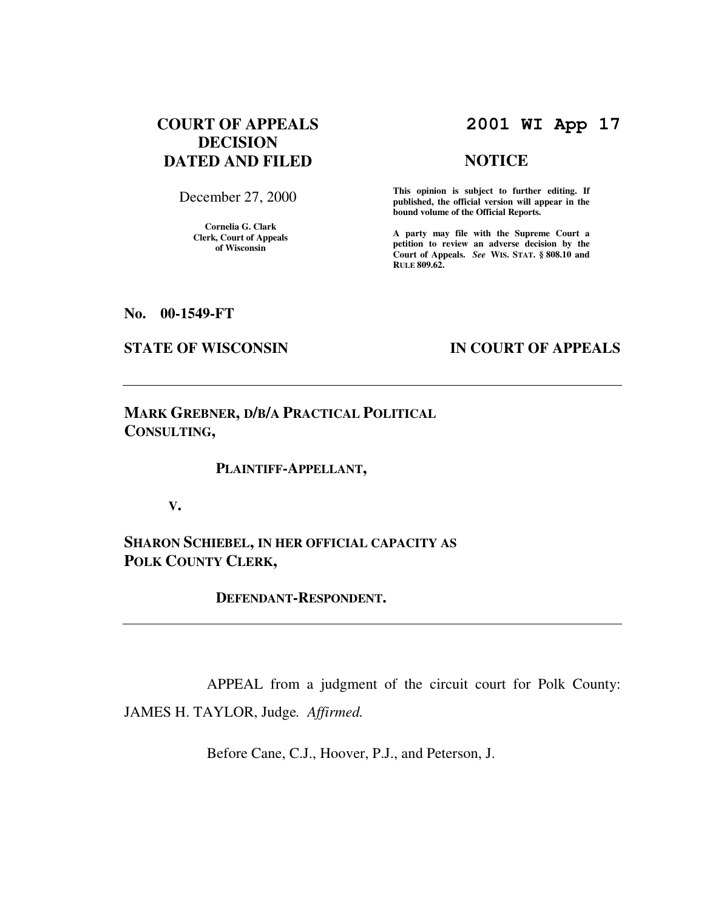# **COURT OF APPEALS DECISION DATED AND FILED**

December 27, 2000

**Cornelia G. Clark Clerk, Court of Appeals of Wisconsin** 

# **2001 WI App 17**

## **NOTICE**

**This opinion is subject to further editing. If published, the official version will appear in the bound volume of the Official Reports.**

**A party may file with the Supreme Court a petition to review an adverse decision by the Court of Appeals.** *See* **WIS. STAT. § 808.10 and RULE 809.62.** 

**No. 00-1549-FT** 

#### **STATE OF WISCONSIN IN COURT OF APPEALS**

**MARK GREBNER, D/B/A PRACTICAL POLITICAL CONSULTING,** 

#### **PLAINTIFF-APPELLANT,**

 **V.** 

**SHARON SCHIEBEL, IN HER OFFICIAL CAPACITY AS POLK COUNTY CLERK,** 

 **DEFENDANT-RESPONDENT.** 

 APPEAL from a judgment of the circuit court for Polk County: JAMES H. TAYLOR, Judge*. Affirmed.*

Before Cane, C.J., Hoover, P.J., and Peterson, J.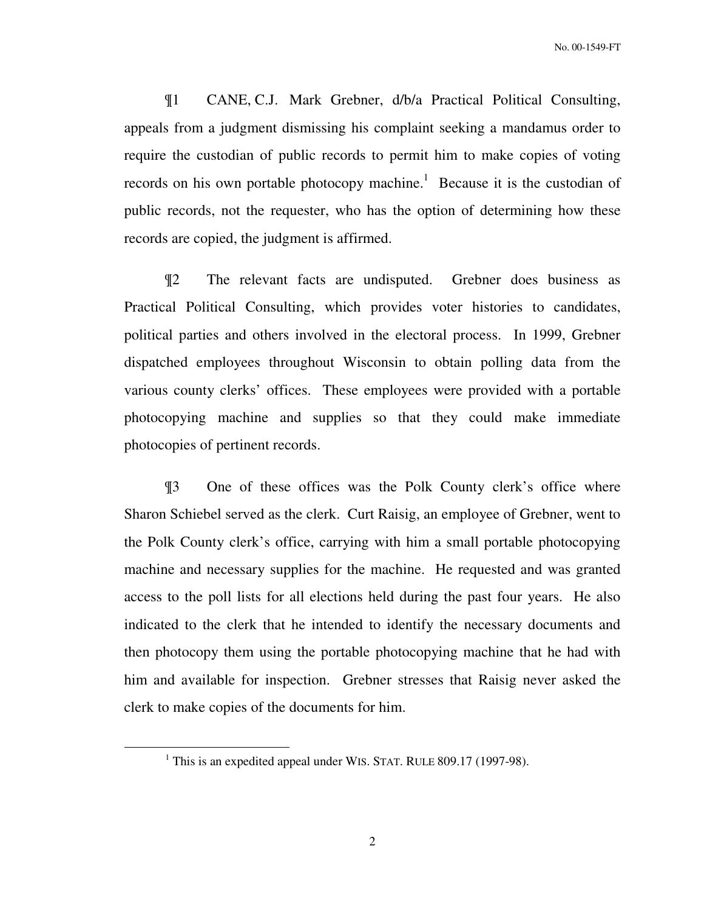¶1 CANE, C.J. Mark Grebner, d/b/a Practical Political Consulting, appeals from a judgment dismissing his complaint seeking a mandamus order to require the custodian of public records to permit him to make copies of voting records on his own portable photocopy machine.<sup>1</sup> Because it is the custodian of public records, not the requester, who has the option of determining how these records are copied, the judgment is affirmed.

¶2 The relevant facts are undisputed. Grebner does business as Practical Political Consulting, which provides voter histories to candidates, political parties and others involved in the electoral process. In 1999, Grebner dispatched employees throughout Wisconsin to obtain polling data from the various county clerks' offices. These employees were provided with a portable photocopying machine and supplies so that they could make immediate photocopies of pertinent records.

¶3 One of these offices was the Polk County clerk's office where Sharon Schiebel served as the clerk. Curt Raisig, an employee of Grebner, went to the Polk County clerk's office, carrying with him a small portable photocopying machine and necessary supplies for the machine. He requested and was granted access to the poll lists for all elections held during the past four years. He also indicated to the clerk that he intended to identify the necessary documents and then photocopy them using the portable photocopying machine that he had with him and available for inspection. Grebner stresses that Raisig never asked the clerk to make copies of the documents for him.

 $\overline{a}$ 

<sup>&</sup>lt;sup>1</sup> This is an expedited appeal under WIS. STAT. RULE 809.17 (1997-98).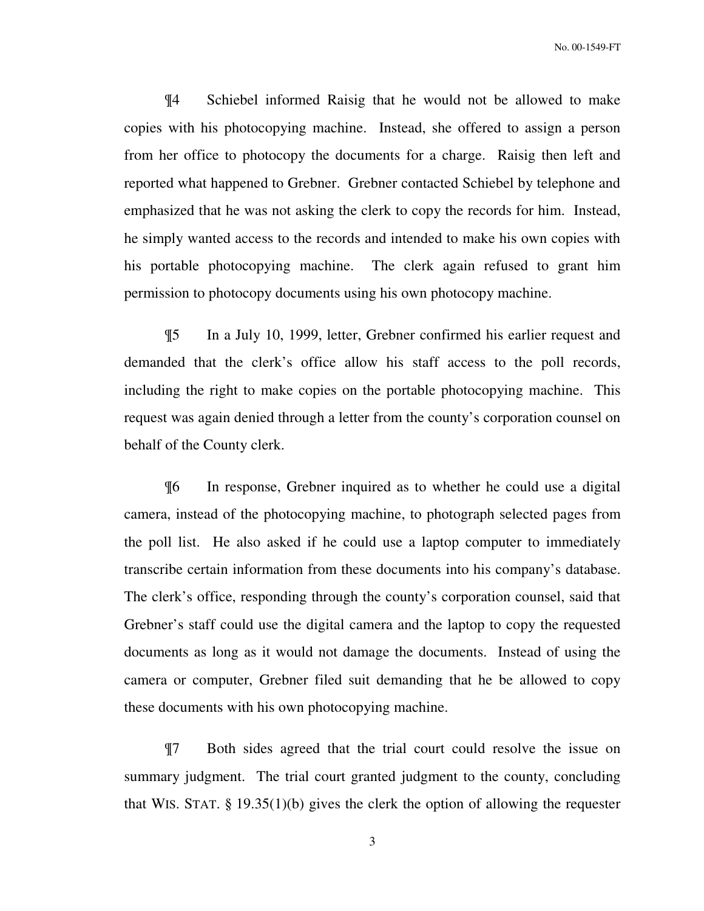¶4 Schiebel informed Raisig that he would not be allowed to make copies with his photocopying machine. Instead, she offered to assign a person from her office to photocopy the documents for a charge. Raisig then left and reported what happened to Grebner. Grebner contacted Schiebel by telephone and emphasized that he was not asking the clerk to copy the records for him. Instead, he simply wanted access to the records and intended to make his own copies with his portable photocopying machine. The clerk again refused to grant him permission to photocopy documents using his own photocopy machine.

¶5 In a July 10, 1999, letter, Grebner confirmed his earlier request and demanded that the clerk's office allow his staff access to the poll records, including the right to make copies on the portable photocopying machine. This request was again denied through a letter from the county's corporation counsel on behalf of the County clerk.

¶6 In response, Grebner inquired as to whether he could use a digital camera, instead of the photocopying machine, to photograph selected pages from the poll list. He also asked if he could use a laptop computer to immediately transcribe certain information from these documents into his company's database. The clerk's office, responding through the county's corporation counsel, said that Grebner's staff could use the digital camera and the laptop to copy the requested documents as long as it would not damage the documents. Instead of using the camera or computer, Grebner filed suit demanding that he be allowed to copy these documents with his own photocopying machine.

¶7 Both sides agreed that the trial court could resolve the issue on summary judgment. The trial court granted judgment to the county, concluding that WIS. STAT.  $\S 19.35(1)(b)$  gives the clerk the option of allowing the requester

3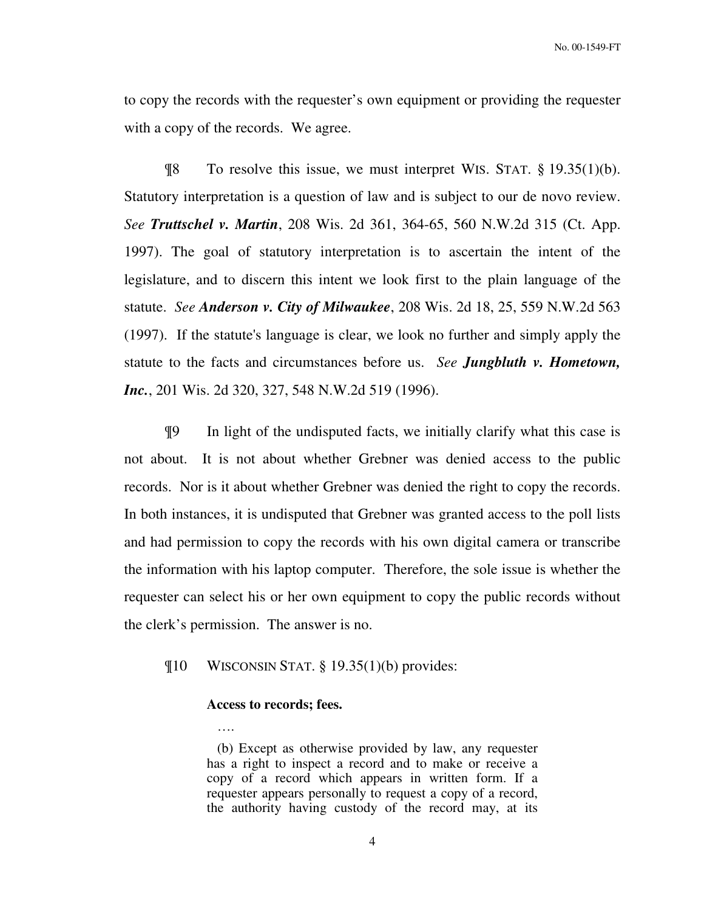No. 00-1549-FT

to copy the records with the requester's own equipment or providing the requester with a copy of the records. We agree.

 $\[\n\mathbb{R}$  To resolve this issue, we must interpret WIS. STAT. § 19.35(1)(b). Statutory interpretation is a question of law and is subject to our de novo review. *See Truttschel v. Martin*, 208 Wis. 2d 361, 364-65, 560 N.W.2d 315 (Ct. App. 1997). The goal of statutory interpretation is to ascertain the intent of the legislature, and to discern this intent we look first to the plain language of the statute. *See Anderson v. City of Milwaukee*, 208 Wis. 2d 18, 25, 559 N.W.2d 563 (1997). If the statute's language is clear, we look no further and simply apply the statute to the facts and circumstances before us. *See Jungbluth v. Hometown, Inc.*, 201 Wis. 2d 320, 327, 548 N.W.2d 519 (1996).

¶9 In light of the undisputed facts, we initially clarify what this case is not about. It is not about whether Grebner was denied access to the public records. Nor is it about whether Grebner was denied the right to copy the records. In both instances, it is undisputed that Grebner was granted access to the poll lists and had permission to copy the records with his own digital camera or transcribe the information with his laptop computer. Therefore, the sole issue is whether the requester can select his or her own equipment to copy the public records without the clerk's permission. The answer is no.

## ¶10 WISCONSIN STAT. § 19.35(1)(b) provides:

#### **Access to records; fees.**

….

 (b) Except as otherwise provided by law, any requester has a right to inspect a record and to make or receive a copy of a record which appears in written form. If a requester appears personally to request a copy of a record, the authority having custody of the record may, at its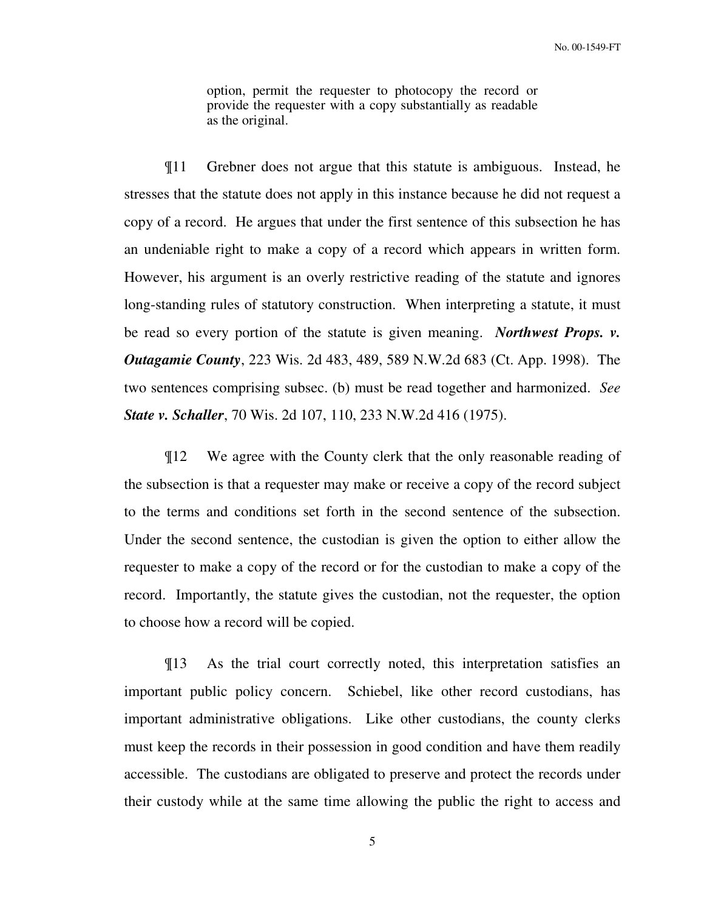option, permit the requester to photocopy the record or provide the requester with a copy substantially as readable as the original.

¶11 Grebner does not argue that this statute is ambiguous. Instead, he stresses that the statute does not apply in this instance because he did not request a copy of a record. He argues that under the first sentence of this subsection he has an undeniable right to make a copy of a record which appears in written form. However, his argument is an overly restrictive reading of the statute and ignores long-standing rules of statutory construction. When interpreting a statute, it must be read so every portion of the statute is given meaning. *Northwest Props. v. Outagamie County*, 223 Wis. 2d 483, 489, 589 N.W.2d 683 (Ct. App. 1998). The two sentences comprising subsec. (b) must be read together and harmonized. *See State v. Schaller*, 70 Wis. 2d 107, 110, 233 N.W.2d 416 (1975).

¶12 We agree with the County clerk that the only reasonable reading of the subsection is that a requester may make or receive a copy of the record subject to the terms and conditions set forth in the second sentence of the subsection. Under the second sentence, the custodian is given the option to either allow the requester to make a copy of the record or for the custodian to make a copy of the record. Importantly, the statute gives the custodian, not the requester, the option to choose how a record will be copied.

¶13 As the trial court correctly noted, this interpretation satisfies an important public policy concern. Schiebel, like other record custodians, has important administrative obligations. Like other custodians, the county clerks must keep the records in their possession in good condition and have them readily accessible. The custodians are obligated to preserve and protect the records under their custody while at the same time allowing the public the right to access and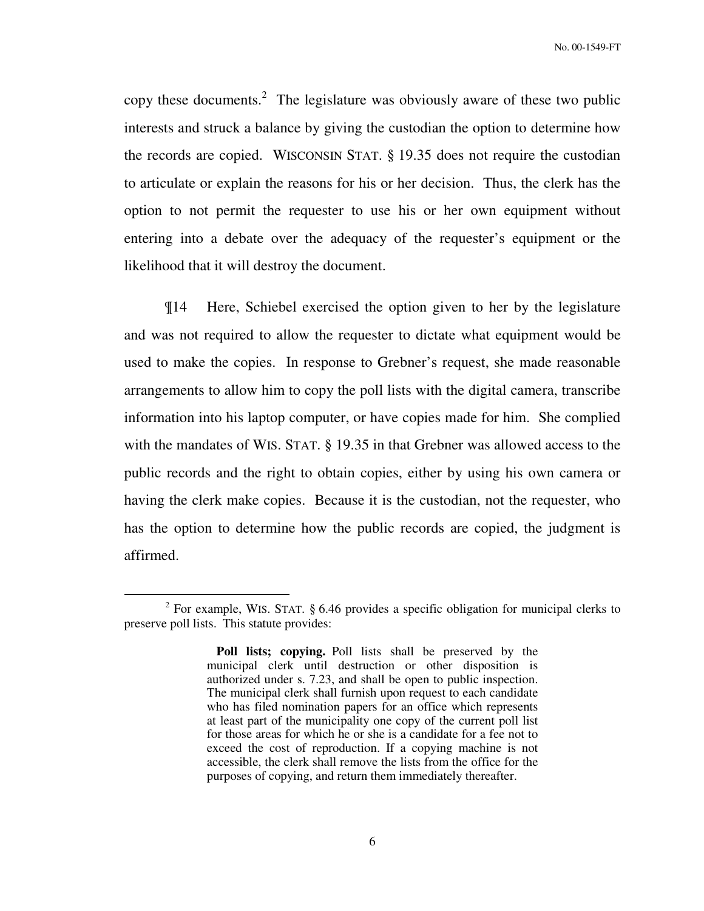copy these documents.<sup>2</sup> The legislature was obviously aware of these two public interests and struck a balance by giving the custodian the option to determine how the records are copied. WISCONSIN STAT. § 19.35 does not require the custodian to articulate or explain the reasons for his or her decision. Thus, the clerk has the option to not permit the requester to use his or her own equipment without entering into a debate over the adequacy of the requester's equipment or the likelihood that it will destroy the document.

¶14 Here, Schiebel exercised the option given to her by the legislature and was not required to allow the requester to dictate what equipment would be used to make the copies. In response to Grebner's request, she made reasonable arrangements to allow him to copy the poll lists with the digital camera, transcribe information into his laptop computer, or have copies made for him. She complied with the mandates of WIS. STAT. § 19.35 in that Grebner was allowed access to the public records and the right to obtain copies, either by using his own camera or having the clerk make copies. Because it is the custodian, not the requester, who has the option to determine how the public records are copied, the judgment is affirmed.

 $\overline{a}$ 

<sup>&</sup>lt;sup>2</sup> For example, WIS. STAT.  $\S 6.46$  provides a specific obligation for municipal clerks to preserve poll lists. This statute provides:

**Poll lists; copying.** Poll lists shall be preserved by the municipal clerk until destruction or other disposition is authorized under s. 7.23, and shall be open to public inspection. The municipal clerk shall furnish upon request to each candidate who has filed nomination papers for an office which represents at least part of the municipality one copy of the current poll list for those areas for which he or she is a candidate for a fee not to exceed the cost of reproduction. If a copying machine is not accessible, the clerk shall remove the lists from the office for the purposes of copying, and return them immediately thereafter.